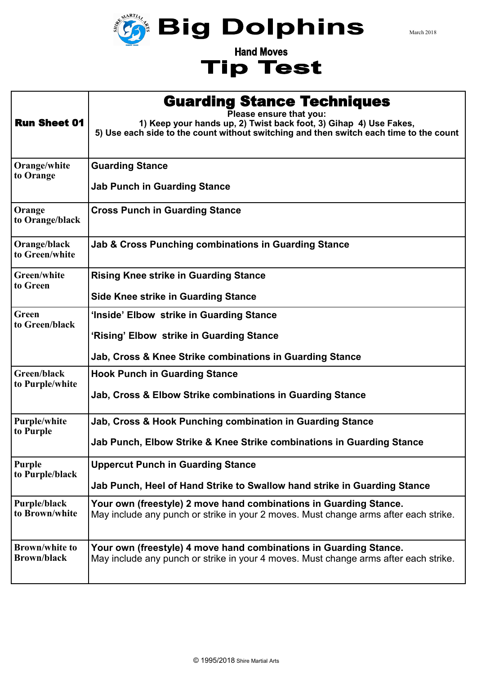

**Hand Moves Tip Test**  March 2018

|                                | <b>Guarding Stance Techniques</b>                                                                                                                                                      |
|--------------------------------|----------------------------------------------------------------------------------------------------------------------------------------------------------------------------------------|
| <b>Run Sheet 01</b>            | Please ensure that you:<br>1) Keep your hands up, 2) Twist back foot, 3) Gihap 4) Use Fakes,<br>5) Use each side to the count without switching and then switch each time to the count |
| Orange/white                   | <b>Guarding Stance</b>                                                                                                                                                                 |
| to Orange                      | <b>Jab Punch in Guarding Stance</b>                                                                                                                                                    |
| Orange<br>to Orange/black      | <b>Cross Punch in Guarding Stance</b>                                                                                                                                                  |
| Orange/black<br>to Green/white | Jab & Cross Punching combinations in Guarding Stance                                                                                                                                   |
| Green/white                    | <b>Rising Knee strike in Guarding Stance</b>                                                                                                                                           |
| to Green                       | <b>Side Knee strike in Guarding Stance</b>                                                                                                                                             |
| Green<br>to Green/black        | 'Inside' Elbow strike in Guarding Stance<br>'Rising' Elbow strike in Guarding Stance<br>Jab, Cross & Knee Strike combinations in Guarding Stance                                       |
| Green/black                    | <b>Hook Punch in Guarding Stance</b>                                                                                                                                                   |
| to Purple/white                | Jab, Cross & Elbow Strike combinations in Guarding Stance                                                                                                                              |
| <b>Purple/white</b>            | Jab, Cross & Hook Punching combination in Guarding Stance                                                                                                                              |
| to Purple                      | Jab Punch, Elbow Strike & Knee Strike combinations in Guarding Stance                                                                                                                  |
| Purple                         | <b>Uppercut Punch in Guarding Stance</b>                                                                                                                                               |
| to Purple/black                | Jab Punch, Heel of Hand Strike to Swallow hand strike in Guarding Stance                                                                                                               |
| Purple/black                   | Your own (freestyle) 2 move hand combinations in Guarding Stance.                                                                                                                      |
| to Brown/white                 | May include any punch or strike in your 2 moves. Must change arms after each strike.                                                                                                   |
| <b>Brown/white to</b>          | Your own (freestyle) 4 move hand combinations in Guarding Stance.                                                                                                                      |
| <b>Brown/black</b>             | May include any punch or strike in your 4 moves. Must change arms after each strike.                                                                                                   |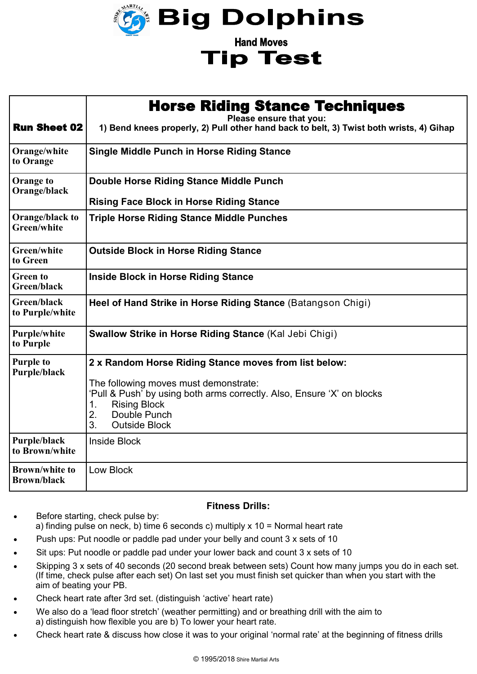

**Tip Test** 

| <b>Run Sheet 02</b>                         | <b>Horse Riding Stance Techniques</b><br>Please ensure that you:<br>1) Bend knees properly, 2) Pull other hand back to belt, 3) Twist both wrists, 4) Gihap                                                                                               |
|---------------------------------------------|-----------------------------------------------------------------------------------------------------------------------------------------------------------------------------------------------------------------------------------------------------------|
| Orange/white<br>to Orange                   | <b>Single Middle Punch in Horse Riding Stance</b>                                                                                                                                                                                                         |
| Orange to<br>Orange/black                   | Double Horse Riding Stance Middle Punch<br><b>Rising Face Block in Horse Riding Stance</b>                                                                                                                                                                |
| Orange/black to<br>Green/white              | <b>Triple Horse Riding Stance Middle Punches</b>                                                                                                                                                                                                          |
| Green/white<br>to Green                     | <b>Outside Block in Horse Riding Stance</b>                                                                                                                                                                                                               |
| <b>Green to</b><br>Green/black              | <b>Inside Block in Horse Riding Stance</b>                                                                                                                                                                                                                |
| Green/black<br>to Purple/white              | Heel of Hand Strike in Horse Riding Stance (Batangson Chigi)                                                                                                                                                                                              |
| Purple/white<br>to Purple                   | <b>Swallow Strike in Horse Riding Stance (Kal Jebi Chigi)</b>                                                                                                                                                                                             |
| <b>Purple to</b><br>Purple/black            | 2 x Random Horse Riding Stance moves from list below:<br>The following moves must demonstrate:<br>'Pull & Push' by using both arms correctly. Also, Ensure 'X' on blocks<br><b>Rising Block</b><br>1.<br>Double Punch<br>2.<br>3.<br><b>Outside Block</b> |
| Purple/black<br>to Brown/white              | <b>Inside Block</b>                                                                                                                                                                                                                                       |
| <b>Brown/white to</b><br><b>Brown/black</b> | <b>Low Block</b>                                                                                                                                                                                                                                          |

## **Fitness Drills:**

- Before starting, check pulse by: a) finding pulse on neck, b) time 6 seconds c) multiply  $x$  10 = Normal heart rate
- Push ups: Put noodle or paddle pad under your belly and count 3 x sets of 10
- Sit ups: Put noodle or paddle pad under your lower back and count 3 x sets of 10
- Skipping 3 x sets of 40 seconds (20 second break between sets) Count how many jumps you do in each set. (If time, check pulse after each set) On last set you must finish set quicker than when you start with the aim of beating your PB.
- Check heart rate after 3rd set. (distinguish 'active' heart rate)
- We also do a 'lead floor stretch' (weather permitting) and or breathing drill with the aim to a) distinguish how flexible you are b) To lower your heart rate.
- Check heart rate & discuss how close it was to your original 'normal rate' at the beginning of fitness drills